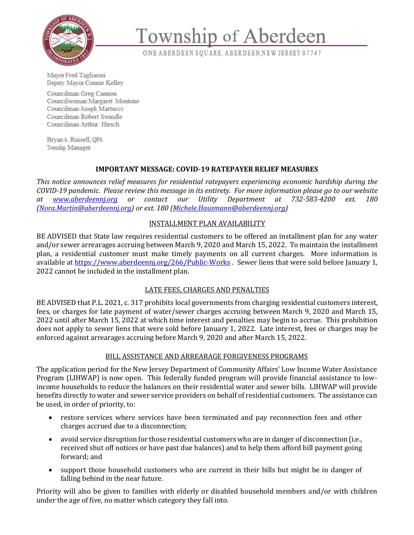

# Township of Aberdeen

ONE ABERDEEN SQUARE, ABERDEEN, NEW JERSEY 07747

Mayor Fred Tagliarini Deputy Mayor Connie Kelley

Councilman Greg Cannon Councilwoman Margaret Montone Councilman Joseph Martucci Councilman Robert Swindle Councilman Arthur Hirsch

Brvan A. Russell, OPA Township Manager

## **IMPORTANT MESSAGE: COVID-19 RATEPAYER RELIEF MEASURES**

*This notice announces relief measures for residential ratepayers experiencing economic hardship during the COVID-19 pandemic. Please review this message in its entirety. For more information please go to our website at [www.aberdeennj.org](http://www.aberdeennj.org/) or contact our Utility Department at 732-583-4200 ext. 180 [\(Nora.Martin@aberdeennj.org\)](mailto:Nora.Martin@aberdeennj.org) or ext. 180 [\(Michele.Hausmann@aberdeennj.org\)](mailto:Michele.Hausmann@aberdeennj.org)*

#### INSTALLMENT PLAN AVAILABILITY

BE ADVISED that State law requires residential customers to be offered an installment plan for any water and/or sewer arrearages accruing between March 9, 2020 and March 15, 2022. To maintain the installment plan, a residential customer must make timely payments on all current charges. More information is available at<https://www.aberdeennj.org/266/Public-Works> . Sewer liens that were sold before January 1, 2022 cannot be included in the installment plan.

## LATE FEES, CHARGES AND PENALTIES

BE ADVISED that P.L. 2021, c. 317 prohibits local governments from charging residential customers interest, fees, or charges for late payment of water/sewer charges accruing between March 9, 2020 and March 15, 2022 until after March 15, 2022 at which time interest and penalties may begin to accrue. This prohibition does not apply to sewer liens that were sold before January 1, 2022. Late interest, fees or charges may be enforced against arrearages accruing before March 9, 2020 and after March 15, 2022.

## BILL ASSISTANCE AND ARREARAGE FORGIVENESS PROGRAMS

The application period for the New Jersey Department of Community Affairs' Low Income Water Assistance Program (LIHWAP) is now open. This federally funded program will provide financial assistance to lowincome households to reduce the balances on their residential water and sewer bills. LIHWAP will provide benefits directly to water and sewer service providers on behalf of residential customers. The assistance can be used, in order of priority, to:

- restore services where services have been terminated and pay reconnection fees and other charges accrued due to a disconnection;
- avoid service disruption for those residential customers who are in danger of disconnection (i.e., received shut off notices or have past due balances) and to help them afford bill payment going forward; and
- support those household customers who are current in their bills but might be in danger of falling behind in the near future.

Priority will also be given to families with elderly or disabled household members and/or with children under the age of five, no matter which category they fall into.